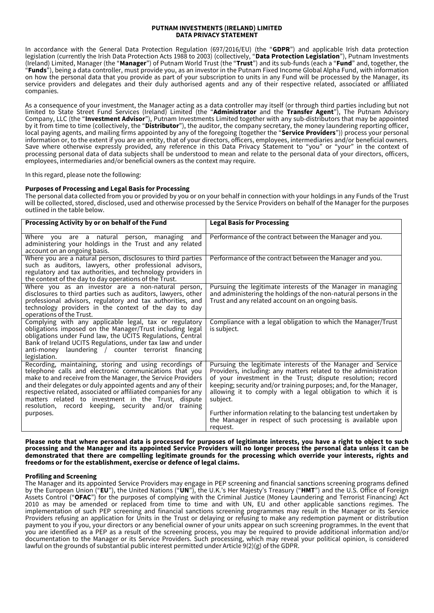#### **PUTNAM INVESTMENTS (IRELAND) LIMITED DATA PRIVACY STATEMENT**

In accordance with the General Data Protection Regulation (697/2016/EU) (the "**GDPR**") and applicable Irish data protection legislation (currently the Irish Data Protection Acts 1988 to 2003) (collectively, "**Data Protection Legislation**"), Putnam Investments (Ireland) Limited, Manager (the "**Manager**") of Putnam World Trust (the "**Trust**") and its sub-funds (each a "**Fund**" and, together, the "**Funds**"), being a data controller, must provide you, as an investor in the Putnam Fixed Income Global Alpha Fund, with information on how the personal data that you provide as part of your subscription to units in any Fund will be processed by the Manager, its service providers and delegates and their duly authorised agents and any of their respective related, associated or affiliated companies.

As a consequence of your investment, the Manager acting as a data controller may itself (or through third parties including but not limited to State Street Fund Services (Ireland) Limited (the "**Administrator** and the **Transfer Agent**"), The Putnam Advisory Company, LLC (the "**Investment Advisor**"), Putnam Investments Limited together with any sub-distributors that may be appointed by it from time to time (collectively, the "**Distributor**"), the auditor, the company secretary, the money laundering reporting officer, local paying agents, and mailing firms appointed by any of the foregoing (together the "**Service Providers**")) process your personal information or, to the extent if you are an entity, that of your directors, officers, employees, intermediaries and/or beneficial owners. Save where otherwise expressly provided, any reference in this Data Privacy Statement to "you" or "your" in the context of processing personal data of data subjects shall be understood to mean and relate to the personal data of your directors, officers, employees, intermediaries and/or beneficial owners as the context may require.

In this regard, please note the following:

# **Purposes of Processing and Legal Basis for Processing**

The personal data collected from you or provided by you or on your behalf in connection with your holdings in any Funds of the Trust will be collected, stored, disclosed, used and otherwise processed by the Service Providers on behalf of the Manager for the purposes outlined in the table below.

| Processing Activity by or on behalf of the Fund                                                                                                                                                                                                                                                                                                                                                                                       | <b>Legal Basis for Processing</b>                                                                                                                                                                                                                                                                                                               |
|---------------------------------------------------------------------------------------------------------------------------------------------------------------------------------------------------------------------------------------------------------------------------------------------------------------------------------------------------------------------------------------------------------------------------------------|-------------------------------------------------------------------------------------------------------------------------------------------------------------------------------------------------------------------------------------------------------------------------------------------------------------------------------------------------|
| Where you are a natural<br>managing and<br>person,<br>administering your holdings in the Trust and any related<br>account on an ongoing basis.                                                                                                                                                                                                                                                                                        | Performance of the contract between the Manager and you.                                                                                                                                                                                                                                                                                        |
| Where you are a natural person, disclosures to third parties<br>such as auditors, lawyers, other professional advisors,<br>regulatory and tax authorities, and technology providers in<br>the context of the day to day operations of the Trust.                                                                                                                                                                                      | Performance of the contract between the Manager and you.                                                                                                                                                                                                                                                                                        |
| Where you as an investor are a non-natural person,<br>disclosures to third parties such as auditors, lawyers, other<br>professional advisors, regulatory and tax authorities, and<br>technology providers in the context of the day to day<br>operations of the Trust.                                                                                                                                                                | Pursuing the legitimate interests of the Manager in managing<br>and administering the holdings of the non-natural persons in the<br>Trust and any related account on an ongoing basis.                                                                                                                                                          |
| Complying with any applicable legal, tax or regulatory<br>obligations imposed on the Manager/Trust including legal<br>obligations under Fund law, the UCITS Regulations, Central<br>Bank of Ireland UCITS Regulations, under tax law and under<br>anti-money laundering / counter terrorist financing<br>legislation.                                                                                                                 | Compliance with a legal obligation to which the Manager/Trust<br>is subject.                                                                                                                                                                                                                                                                    |
| Recording, maintaining, storing and using recordings of<br>telephone calls and electronic communications that you<br>make to and receive from the Manager, the Service Providers<br>and their delegates or duly appointed agents and any of their<br>respective related, associated or affiliated companies for any<br>matters related to investment in the Trust, dispute<br>resolution, record keeping, security and/or<br>training | Pursuing the legitimate interests of the Manager and Service<br>Providers, including: any matters related to the administration<br>of your investment in the Trust; dispute resolution; record<br>keeping; security and/or training purposes; and, for the Manager,<br>allowing it to comply with a legal obligation to which it is<br>subject. |
| purposes.                                                                                                                                                                                                                                                                                                                                                                                                                             | Further information relating to the balancing test undertaken by<br>the Manager in respect of such processing is available upon<br>request.                                                                                                                                                                                                     |

**Please note that where personal data is processed for purposes of legitimate interests, you have a right to object to such processing and the Manager and its appointed Service Providers will no longer process the personal data unless it can be demonstrated that there are compelling legitimate grounds for the processing which override your interests, rights and freedoms or for the establishment, exercise or defence of legal claims.**

# **Profiling and Screening**

The Manager and its appointed Service Providers may engage in PEP screening and financial sanctions screening programs defined by the European Union ("**EU**"), the United Nations ("**UN**"), the U.K.'s Her Majesty's Treasury ("**HMT**") and the U.S. Office of Foreign Assets Control ("**OFAC**") for the purposes of complying with the Criminal Justice (Money Laundering and Terrorist Financing) Act 2010 as may be amended or replaced from time to time and with UN, EU and other applicable sanctions regimes. The implementation of such PEP screening and financial sanctions screening programmes may result in the Manager or its Service Providers refusing an application for Units in the Trust or delaying or refusing to make any redemption payment or distribution payment to you if you, your directors or any beneficial owner of your units appear on such screening programmes. In the event that you are identified as a PEP as a result of the screening process, you may be required to provide additional information and/or documentation to the Manager or its Service Providers. Such processing, which may reveal your political opinion, is considered lawful on the grounds of substantial public interest permitted under Article 9(2)(g) of the GDPR.